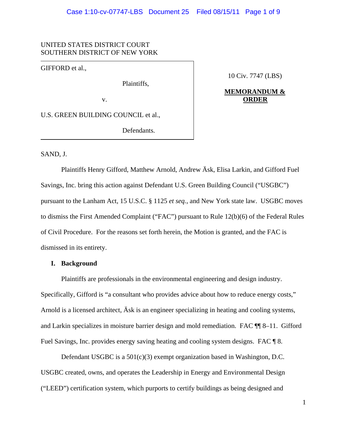## UNITED STATES DISTRICT COURT SOUTHERN DISTRICT OF NEW YORK

GIFFORD et al.,

Plaintiffs,

10 Civ. 7747 (LBS)

## **MEMORANDUM &** v. **ORDER**

U.S. GREEN BUILDING COUNCIL et al.,

Defendants.

### SAND, J.

Plaintiffs Henry Gifford, Matthew Arnold, Andrew Äsk, Elisa Larkin, and Gifford Fuel Savings, Inc. bring this action against Defendant U.S. Green Building Council ("USGBC") pursuant to the Lanham Act, 15 U.S.C. § 1125 *et seq.*, and New York state law. USGBC moves to dismiss the First Amended Complaint ("FAC") pursuant to Rule 12(b)(6) of the Federal Rules of Civil Procedure. For the reasons set forth herein, the Motion is granted, and the FAC is dismissed in its entirety.

### **I. Background**

Plaintiffs are professionals in the environmental engineering and design industry. Specifically, Gifford is "a consultant who provides advice about how to reduce energy costs," Arnold is a licensed architect, Äsk is an engineer specializing in heating and cooling systems, and Larkin specializes in moisture barrier design and mold remediation. FAC ¶¶ 8–11. Gifford Fuel Savings, Inc. provides energy saving heating and cooling system designs. FAC  $\llbracket 8$ .

Defendant USGBC is a  $501(c)(3)$  exempt organization based in Washington, D.C. USGBC created, owns, and operates the Leadership in Energy and Environmental Design ("LEED") certification system, which purports to certify buildings as being designed and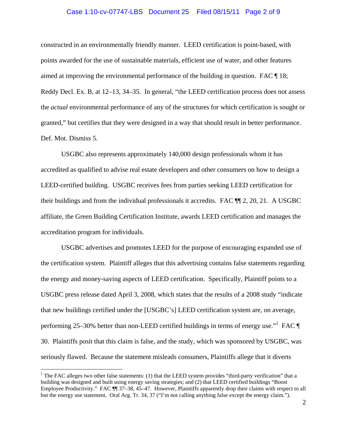#### Case 1:10-cv-07747-LBS Document 25 Filed 08/15/11 Page 2 of 9

constructed in an environmentally friendly manner. LEED certification is point-based, with points awarded for the use of sustainable materials, efficient use of water, and other features aimed at improving the environmental performance of the building in question. FAC ¶ 18; Reddy Decl. Ex. B, at 12–13, 34–35. In general, "the LEED certification process does not assess the *actual* environmental performance of any of the structures for which certification is sought or granted," but certifies that they were designed in a way that should result in better performance. Def. Mot. Dismiss 5.

USGBC also represents approximately 140,000 design professionals whom it has accredited as qualified to advise real estate developers and other consumers on how to design a LEED-certified building. USGBC receives fees from parties seeking LEED certification for their buildings and from the individual professionals it accredits. FAC ¶¶ 2, 20, 21. A USGBC affiliate, the Green Building Certification Institute, awards LEED certification and manages the accreditation program for individuals.

USGBC advertises and promotes LEED for the purpose of encouraging expanded use of the certification system. Plaintiff alleges that this advertising contains false statements regarding the energy and money-saving aspects of LEED certification. Specifically, Plaintiff points to a USGBC press release dated April 3, 2008, which states that the results of a 2008 study "indicate that new buildings certified under the [USGBC's] LEED certification system are, on average, performing 25–30% better than non-LEED certified buildings in terms of energy use." FAC  $\P$ 30. Plaintiffs posit that this claim is false, and the study, which was sponsored by USGBC, was seriously flawed. Because the statement misleads consumers, Plaintiffs allege that it diverts

<u>.</u>

<sup>&</sup>lt;sup>1</sup> The FAC alleges two other false statements: (1) that the LEED system provides "third-party verification" that a building was designed and built using energy saving strategies; and (2) that LEED certified buildings "Boost Employee Productivity." FAC ¶ 37–38, 45–47. However, Plaintiffs apparently drop their claims with respect to all but the energy use statement. Oral Arg. Tr. 34, 37 ("I'm not calling anything false except the energy claim.").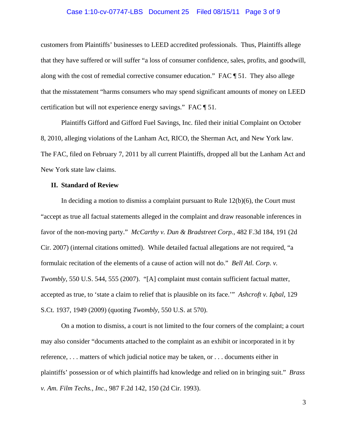#### Case 1:10-cv-07747-LBS Document 25 Filed 08/15/11 Page 3 of 9

customers from Plaintiffs' businesses to LEED accredited professionals. Thus, Plaintiffs allege that they have suffered or will suffer "a loss of consumer confidence, sales, profits, and goodwill, along with the cost of remedial corrective consumer education." FAC ¶ 51. They also allege that the misstatement "harms consumers who may spend significant amounts of money on LEED certification but will not experience energy savings." FAC ¶ 51.

Plaintiffs Gifford and Gifford Fuel Savings, Inc. filed their initial Complaint on October 8, 2010, alleging violations of the Lanham Act, RICO, the Sherman Act, and New York law. The FAC, filed on February 7, 2011 by all current Plaintiffs, dropped all but the Lanham Act and New York state law claims.

#### **II. Standard of Review**

In deciding a motion to dismiss a complaint pursuant to Rule 12(b)(6), the Court must "accept as true all factual statements alleged in the complaint and draw reasonable inferences in favor of the non-moving party." *McCarthy v. Dun & Bradstreet Corp.*, 482 F.3d 184, 191 (2d Cir. 2007) (internal citations omitted). While detailed factual allegations are not required, "a formulaic recitation of the elements of a cause of action will not do." *Bell Atl. Corp. v. Twombly*, 550 U.S. 544, 555 (2007). "[A] complaint must contain sufficient factual matter, accepted as true, to 'state a claim to relief that is plausible on its face.'" *Ashcroft v. Iqbal*, 129 S.Ct. 1937, 1949 (2009) (quoting *Twombly*, 550 U.S. at 570).

On a motion to dismiss, a court is not limited to the four corners of the complaint; a court may also consider "documents attached to the complaint as an exhibit or incorporated in it by reference, . . . matters of which judicial notice may be taken, or . . . documents either in plaintiffs' possession or of which plaintiffs had knowledge and relied on in bringing suit." *Brass v. Am. Film Techs., Inc.*, 987 F.2d 142, 150 (2d Cir. 1993).

3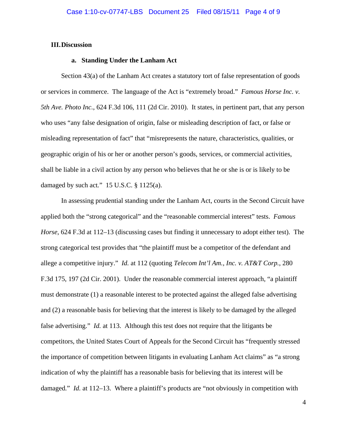### **III.Discussion**

## **a. Standing Under the Lanham Act**

Section 43(a) of the Lanham Act creates a statutory tort of false representation of goods or services in commerce. The language of the Act is "extremely broad." *Famous Horse Inc. v. 5th Ave. Photo Inc.*, 624 F.3d 106, 111 (2d Cir. 2010). It states, in pertinent part, that any person who uses "any false designation of origin, false or misleading description of fact, or false or misleading representation of fact" that "misrepresents the nature, characteristics, qualities, or geographic origin of his or her or another person's goods, services, or commercial activities, shall be liable in a civil action by any person who believes that he or she is or is likely to be damaged by such act*.*" 15 U.S.C. § 1125(a).

In assessing prudential standing under the Lanham Act, courts in the Second Circuit have applied both the "strong categorical" and the "reasonable commercial interest" tests. *Famous Horse*, 624 F.3d at 112–13 (discussing cases but finding it unnecessary to adopt either test). The strong categorical test provides that "the plaintiff must be a competitor of the defendant and allege a competitive injury." *Id.* at 112 (quoting *Telecom Int'l Am., Inc. v. AT&T Corp.*, 280 F.3d 175, 197 (2d Cir. 2001). Under the reasonable commercial interest approach, "a plaintiff must demonstrate (1) a reasonable interest to be protected against the alleged false advertising and (2) a reasonable basis for believing that the interest is likely to be damaged by the alleged false advertising." *Id.* at 113. Although this test does not require that the litigants be competitors, the United States Court of Appeals for the Second Circuit has "frequently stressed the importance of competition between litigants in evaluating Lanham Act claims" as "a strong indication of why the plaintiff has a reasonable basis for believing that its interest will be damaged*.*" *Id.* at 112–13. Where a plaintiff's products are "not obviously in competition with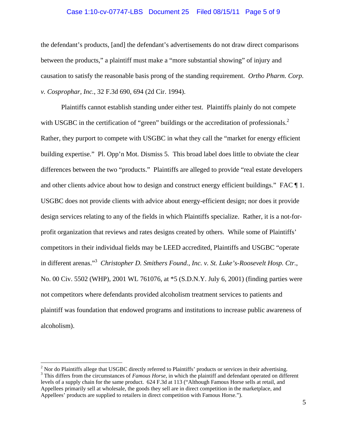#### Case 1:10-cv-07747-LBS Document 25 Filed 08/15/11 Page 5 of 9

the defendant's products, [and] the defendant's advertisements do not draw direct comparisons between the products," a plaintiff must make a "more substantial showing" of injury and causation to satisfy the reasonable basis prong of the standing requirement. *Ortho Pharm. Corp. v. Cosprophar, Inc.*, 32 F.3d 690, 694 (2d Cir. 1994).

Plaintiffs cannot establish standing under either test. Plaintiffs plainly do not compete with USGBC in the certification of "green" buildings or the accreditation of professionals. $2$ Rather, they purport to compete with USGBC in what they call the "market for energy efficient building expertise." Pl. Opp'n Mot. Dismiss 5. This broad label does little to obviate the clear differences between the two "products." Plaintiffs are alleged to provide "real estate developers and other clients advice about how to design and construct energy efficient buildings." FAC ¶ 1. USGBC does not provide clients with advice about energy-efficient design; nor does it provide design services relating to any of the fields in which Plaintiffs specialize. Rather, it is a not-forprofit organization that reviews and rates designs created by others. While some of Plaintiffs' competitors in their individual fields may be LEED accredited, Plaintiffs and USGBC "operate in different arenas."3 *Christopher D. Smithers Found., Inc. v. St. Luke's-Roosevelt Hosp. Ctr.*, No. 00 Civ. 5502 (WHP), 2001 WL 761076, at \*5 (S.D.N.Y. July 6, 2001) (finding parties were not competitors where defendants provided alcoholism treatment services to patients and plaintiff was foundation that endowed programs and institutions to increase public awareness of alcoholism).

 $\overline{a}$ 

<sup>&</sup>lt;sup>2</sup> Nor do Plaintiffs allege that USGBC directly referred to Plaintiffs' products or services in their advertising.<br><sup>3</sup> This different from the girounateness of *Equation House* in which the plaintiff and defendent operat <sup>3</sup> This differs from the circumstances of *Famous Horse*, in which the plaintiff and defendant operated on different levels of a supply chain for the same product. 624 F.3d at 113 ("Although Famous Horse sells at retail, and Appellees primarily sell at wholesale, the goods they sell are in direct competition in the marketplace, and Appellees' products are supplied to retailers in direct competition with Famous Horse.").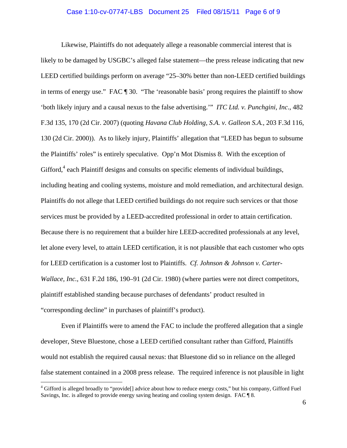#### Case 1:10-cv-07747-LBS Document 25 Filed 08/15/11 Page 6 of 9

Likewise, Plaintiffs do not adequately allege a reasonable commercial interest that is likely to be damaged by USGBC's alleged false statement—the press release indicating that new LEED certified buildings perform on average "25–30% better than non-LEED certified buildings in terms of energy use." FAC ¶ 30. "The 'reasonable basis' prong requires the plaintiff to show 'both likely injury and a causal nexus to the false advertising.'" *ITC Ltd. v. Punchgini, Inc*., 482 F.3d 135, 170 (2d Cir. 2007) (quoting *Havana Club Holding, S.A. v. Galleon S.A.*, 203 F.3d 116, 130 (2d Cir. 2000)). As to likely injury, Plaintiffs' allegation that "LEED has begun to subsume the Plaintiffs' roles" is entirely speculative. Opp'n Mot Dismiss 8. With the exception of Gifford,<sup>4</sup> each Plaintiff designs and consults on specific elements of individual buildings, including heating and cooling systems, moisture and mold remediation, and architectural design. Plaintiffs do not allege that LEED certified buildings do not require such services or that those services must be provided by a LEED-accredited professional in order to attain certification. Because there is no requirement that a builder hire LEED-accredited professionals at any level, let alone every level, to attain LEED certification, it is not plausible that each customer who opts for LEED certification is a customer lost to Plaintiffs. *Cf. Johnson & Johnson v. Carter-Wallace, Inc.*, 631 F.2d 186, 190–91 (2d Cir. 1980) (where parties were not direct competitors, plaintiff established standing because purchases of defendants' product resulted in "corresponding decline" in purchases of plaintiff's product).

Even if Plaintiffs were to amend the FAC to include the proffered allegation that a single developer, Steve Bluestone, chose a LEED certified consultant rather than Gifford, Plaintiffs would not establish the required causal nexus: that Bluestone did so in reliance on the alleged false statement contained in a 2008 press release. The required inference is not plausible in light

1

<sup>&</sup>lt;sup>4</sup> Gifford is alleged broadly to "provide[] advice about how to reduce energy costs," but his company, Gifford Fuel Savings, Inc. is alleged to provide energy saving heating and cooling system design. FAC  $\llbracket 8$ .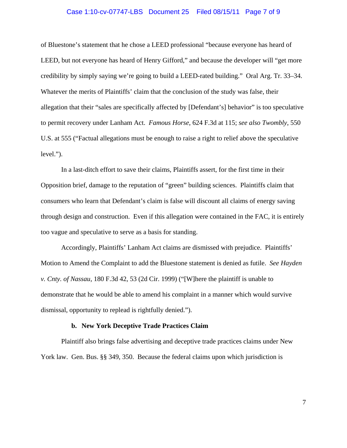#### Case 1:10-cv-07747-LBS Document 25 Filed 08/15/11 Page 7 of 9

of Bluestone's statement that he chose a LEED professional "because everyone has heard of LEED, but not everyone has heard of Henry Gifford," and because the developer will "get more credibility by simply saying we're going to build a LEED-rated building." Oral Arg. Tr. 33–34. Whatever the merits of Plaintiffs' claim that the conclusion of the study was false, their allegation that their "sales are specifically affected by [Defendant's] behavior" is too speculative to permit recovery under Lanham Act. *Famous Horse*, 624 F.3d at 115; *see also Twombly*, 550 U.S. at 555 ("Factual allegations must be enough to raise a right to relief above the speculative level.").

In a last-ditch effort to save their claims, Plaintiffs assert, for the first time in their Opposition brief, damage to the reputation of "green" building sciences. Plaintiffs claim that consumers who learn that Defendant's claim is false will discount all claims of energy saving through design and construction. Even if this allegation were contained in the FAC, it is entirely too vague and speculative to serve as a basis for standing.

Accordingly, Plaintiffs' Lanham Act claims are dismissed with prejudice. Plaintiffs' Motion to Amend the Complaint to add the Bluestone statement is denied as futile. *See Hayden v. Cnty. of Nassau*, 180 F.3d 42, 53 (2d Cir. 1999) ("[W]here the plaintiff is unable to demonstrate that he would be able to amend his complaint in a manner which would survive dismissal, opportunity to replead is rightfully denied.").

#### **b. New York Deceptive Trade Practices Claim**

Plaintiff also brings false advertising and deceptive trade practices claims under New York law. Gen. Bus. §§ 349, 350. Because the federal claims upon which jurisdiction is

7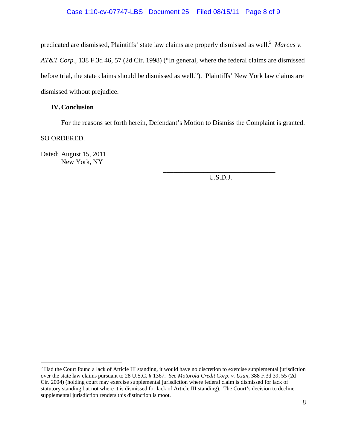# Case 1:10-cv-07747-LBS Document 25 Filed 08/15/11 Page 8 of 9

predicated are dismissed, Plaintiffs' state law claims are properly dismissed as well.<sup>5</sup> Marcus v. *AT&T Corp.*, 138 F.3d 46, 57 (2d Cir. 1998) ("In general, where the federal claims are dismissed before trial, the state claims should be dismissed as well."). Plaintiffs' New York law claims are dismissed without prejudice.

## **IV.Conclusion**

For the reasons set forth herein, Defendant's Motion to Dismiss the Complaint is granted.

 $\overline{\phantom{a}}$  , which is a set of the set of the set of the set of the set of the set of the set of the set of the set of the set of the set of the set of the set of the set of the set of the set of the set of the set of th

SO ORDERED.

 $\overline{a}$ 

Dated: August 15, 2011 New York, NY

U.S.D.J.

 $<sup>5</sup>$  Had the Court found a lack of Article III standing, it would have no discretion to exercise supplemental jurisdiction</sup> over the state law claims pursuant to 28 U.S.C. § 1367. *See Motorola Credit Corp. v. Uzan*, 388 F.3d 39, 55 (2d Cir. 2004) (holding court may exercise supplemental jurisdiction where federal claim is dismissed for lack of statutory standing but not where it is dismissed for lack of Article III standing). The Court's decision to decline supplemental jurisdiction renders this distinction is moot.